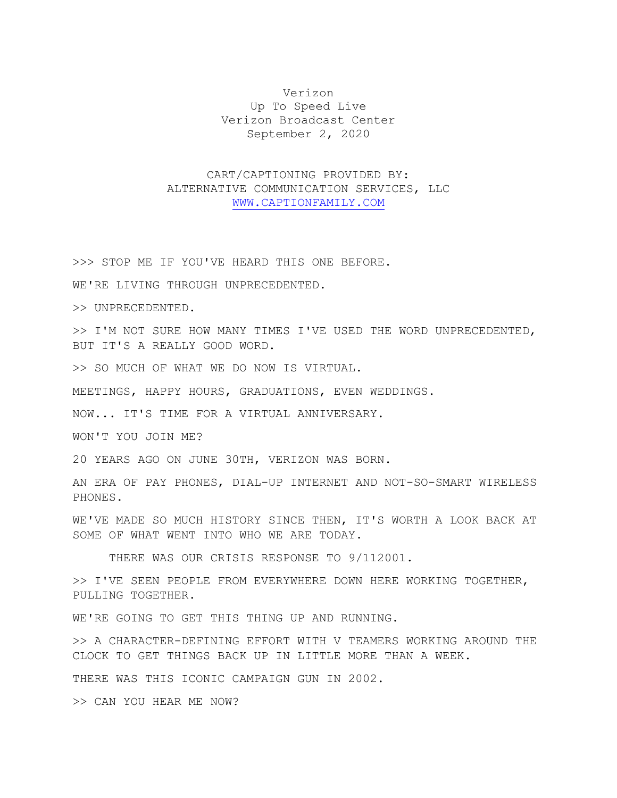Verizon Up To Speed Live Verizon Broadcast Center September 2, 2020

## CART/CAPTIONING PROVIDED BY: ALTERNATIVE COMMUNICATION SERVICES, LLC [WWW.CAPTIONFAMILY.COM](http://www.captionfamily.com/)

>>> STOP ME IF YOU'VE HEARD THIS ONE BEFORE.

WE'RE LIVING THROUGH UNPRECEDENTED.

>> UNPRECEDENTED.

>> I'M NOT SURE HOW MANY TIMES I'VE USED THE WORD UNPRECEDENTED, BUT IT'S A REALLY GOOD WORD.

>> SO MUCH OF WHAT WE DO NOW IS VIRTUAL.

MEETINGS, HAPPY HOURS, GRADUATIONS, EVEN WEDDINGS.

NOW... IT'S TIME FOR A VIRTUAL ANNIVERSARY.

WON'T YOU JOIN ME?

20 YEARS AGO ON JUNE 30TH, VERIZON WAS BORN.

AN ERA OF PAY PHONES, DIAL-UP INTERNET AND NOT-SO-SMART WIRELESS PHONES.

WE'VE MADE SO MUCH HISTORY SINCE THEN, IT'S WORTH A LOOK BACK AT SOME OF WHAT WENT INTO WHO WE ARE TODAY.

THERE WAS OUR CRISIS RESPONSE TO 9/112001.

>> I'VE SEEN PEOPLE FROM EVERYWHERE DOWN HERE WORKING TOGETHER, PULLING TOGETHER.

WE'RE GOING TO GET THIS THING UP AND RUNNING.

>> A CHARACTER-DEFINING EFFORT WITH V TEAMERS WORKING AROUND THE CLOCK TO GET THINGS BACK UP IN LITTLE MORE THAN A WEEK.

THERE WAS THIS ICONIC CAMPAIGN GUN IN 2002.

>> CAN YOU HEAR ME NOW?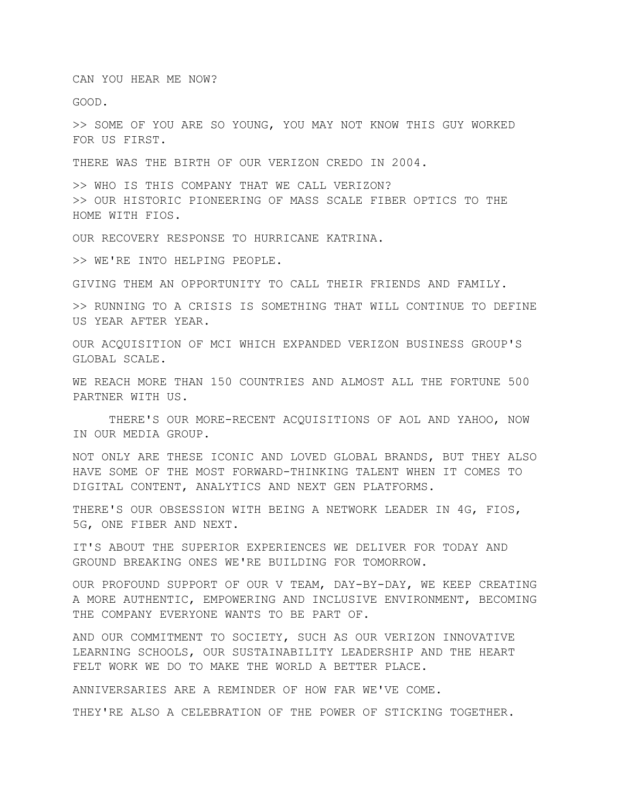CAN YOU HEAR ME NOW?

GOOD.

>> SOME OF YOU ARE SO YOUNG, YOU MAY NOT KNOW THIS GUY WORKED FOR US FIRST.

THERE WAS THE BIRTH OF OUR VERIZON CREDO IN 2004.

>> WHO IS THIS COMPANY THAT WE CALL VERIZON? >> OUR HISTORIC PIONEERING OF MASS SCALE FIBER OPTICS TO THE HOME WITH FIOS.

OUR RECOVERY RESPONSE TO HURRICANE KATRINA.

>> WE'RE INTO HELPING PEOPLE.

GIVING THEM AN OPPORTUNITY TO CALL THEIR FRIENDS AND FAMILY.

>> RUNNING TO A CRISIS IS SOMETHING THAT WILL CONTINUE TO DEFINE US YEAR AFTER YEAR.

OUR ACQUISITION OF MCI WHICH EXPANDED VERIZON BUSINESS GROUP'S GLOBAL SCALE.

WE REACH MORE THAN 150 COUNTRIES AND ALMOST ALL THE FORTUNE 500 PARTNER WITH US.

THERE'S OUR MORE-RECENT ACQUISITIONS OF AOL AND YAHOO, NOW IN OUR MEDIA GROUP.

NOT ONLY ARE THESE ICONIC AND LOVED GLOBAL BRANDS, BUT THEY ALSO HAVE SOME OF THE MOST FORWARD-THINKING TALENT WHEN IT COMES TO DIGITAL CONTENT, ANALYTICS AND NEXT GEN PLATFORMS.

THERE'S OUR OBSESSION WITH BEING A NETWORK LEADER IN 4G, FIOS, 5G, ONE FIBER AND NEXT.

IT'S ABOUT THE SUPERIOR EXPERIENCES WE DELIVER FOR TODAY AND GROUND BREAKING ONES WE'RE BUILDING FOR TOMORROW.

OUR PROFOUND SUPPORT OF OUR V TEAM, DAY-BY-DAY, WE KEEP CREATING A MORE AUTHENTIC, EMPOWERING AND INCLUSIVE ENVIRONMENT, BECOMING THE COMPANY EVERYONE WANTS TO BE PART OF.

AND OUR COMMITMENT TO SOCIETY, SUCH AS OUR VERIZON INNOVATIVE LEARNING SCHOOLS, OUR SUSTAINABILITY LEADERSHIP AND THE HEART FELT WORK WE DO TO MAKE THE WORLD A BETTER PLACE.

ANNIVERSARIES ARE A REMINDER OF HOW FAR WE'VE COME.

THEY'RE ALSO A CELEBRATION OF THE POWER OF STICKING TOGETHER.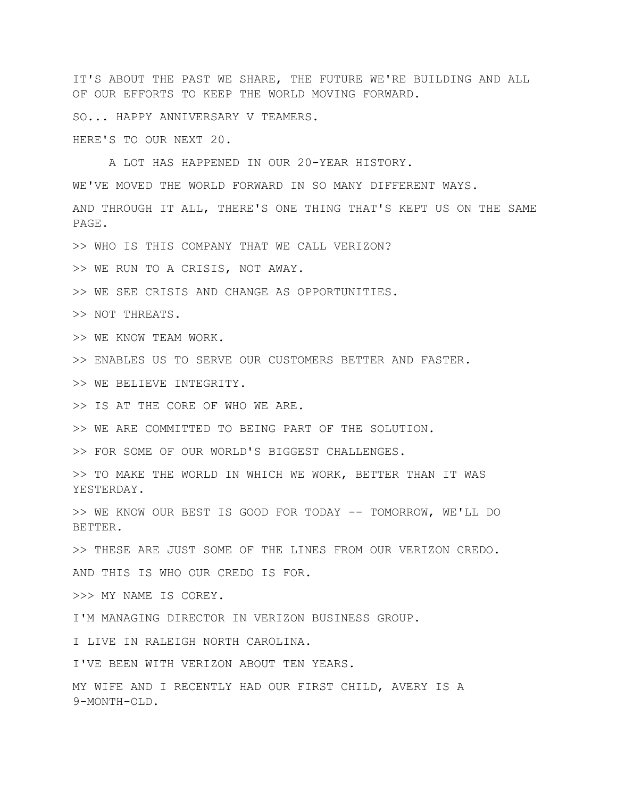IT'S ABOUT THE PAST WE SHARE, THE FUTURE WE'RE BUILDING AND ALL OF OUR EFFORTS TO KEEP THE WORLD MOVING FORWARD.

SO... HAPPY ANNIVERSARY V TEAMERS.

HERE'S TO OUR NEXT 20.

A LOT HAS HAPPENED IN OUR 20-YEAR HISTORY.

WE'VE MOVED THE WORLD FORWARD IN SO MANY DIFFERENT WAYS.

AND THROUGH IT ALL, THERE'S ONE THING THAT'S KEPT US ON THE SAME PAGE.

>> WHO IS THIS COMPANY THAT WE CALL VERIZON?

>> WE RUN TO A CRISIS, NOT AWAY.

>> WE SEE CRISIS AND CHANGE AS OPPORTUNITIES.

>> NOT THREATS.

>> WE KNOW TEAM WORK.

>> ENABLES US TO SERVE OUR CUSTOMERS BETTER AND FASTER.

>> WE BELIEVE INTEGRITY.

>> IS AT THE CORE OF WHO WE ARE.

>> WE ARE COMMITTED TO BEING PART OF THE SOLUTION.

>> FOR SOME OF OUR WORLD'S BIGGEST CHALLENGES.

>> TO MAKE THE WORLD IN WHICH WE WORK, BETTER THAN IT WAS YESTERDAY.

>> WE KNOW OUR BEST IS GOOD FOR TODAY -- TOMORROW, WE'LL DO BETTER.

>> THESE ARE JUST SOME OF THE LINES FROM OUR VERIZON CREDO.

AND THIS IS WHO OUR CREDO IS FOR.

>>> MY NAME IS COREY.

I'M MANAGING DIRECTOR IN VERIZON BUSINESS GROUP.

I LIVE IN RALEIGH NORTH CAROLINA.

I'VE BEEN WITH VERIZON ABOUT TEN YEARS.

MY WIFE AND I RECENTLY HAD OUR FIRST CHILD, AVERY IS A 9-MONTH-OLD.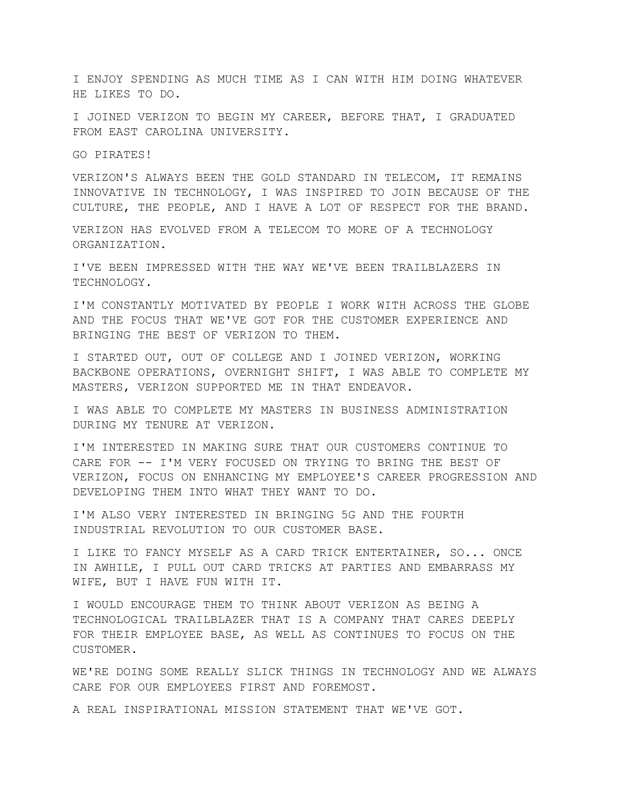I ENJOY SPENDING AS MUCH TIME AS I CAN WITH HIM DOING WHATEVER HE LIKES TO DO.

I JOINED VERIZON TO BEGIN MY CAREER, BEFORE THAT, I GRADUATED FROM EAST CAROLINA UNIVERSITY.

GO PIRATES!

VERIZON'S ALWAYS BEEN THE GOLD STANDARD IN TELECOM, IT REMAINS INNOVATIVE IN TECHNOLOGY, I WAS INSPIRED TO JOIN BECAUSE OF THE CULTURE, THE PEOPLE, AND I HAVE A LOT OF RESPECT FOR THE BRAND.

VERIZON HAS EVOLVED FROM A TELECOM TO MORE OF A TECHNOLOGY ORGANIZATION.

I'VE BEEN IMPRESSED WITH THE WAY WE'VE BEEN TRAILBLAZERS IN TECHNOLOGY.

I'M CONSTANTLY MOTIVATED BY PEOPLE I WORK WITH ACROSS THE GLOBE AND THE FOCUS THAT WE'VE GOT FOR THE CUSTOMER EXPERIENCE AND BRINGING THE BEST OF VERIZON TO THEM.

I STARTED OUT, OUT OF COLLEGE AND I JOINED VERIZON, WORKING BACKBONE OPERATIONS, OVERNIGHT SHIFT, I WAS ABLE TO COMPLETE MY MASTERS, VERIZON SUPPORTED ME IN THAT ENDEAVOR.

I WAS ABLE TO COMPLETE MY MASTERS IN BUSINESS ADMINISTRATION DURING MY TENURE AT VERIZON.

I'M INTERESTED IN MAKING SURE THAT OUR CUSTOMERS CONTINUE TO CARE FOR -- I'M VERY FOCUSED ON TRYING TO BRING THE BEST OF VERIZON, FOCUS ON ENHANCING MY EMPLOYEE'S CAREER PROGRESSION AND DEVELOPING THEM INTO WHAT THEY WANT TO DO.

I'M ALSO VERY INTERESTED IN BRINGING 5G AND THE FOURTH INDUSTRIAL REVOLUTION TO OUR CUSTOMER BASE.

I LIKE TO FANCY MYSELF AS A CARD TRICK ENTERTAINER, SO... ONCE IN AWHILE, I PULL OUT CARD TRICKS AT PARTIES AND EMBARRASS MY WIFE, BUT I HAVE FUN WITH IT.

I WOULD ENCOURAGE THEM TO THINK ABOUT VERIZON AS BEING A TECHNOLOGICAL TRAILBLAZER THAT IS A COMPANY THAT CARES DEEPLY FOR THEIR EMPLOYEE BASE, AS WELL AS CONTINUES TO FOCUS ON THE CUSTOMER.

WE'RE DOING SOME REALLY SLICK THINGS IN TECHNOLOGY AND WE ALWAYS CARE FOR OUR EMPLOYEES FIRST AND FOREMOST.

A REAL INSPIRATIONAL MISSION STATEMENT THAT WE'VE GOT.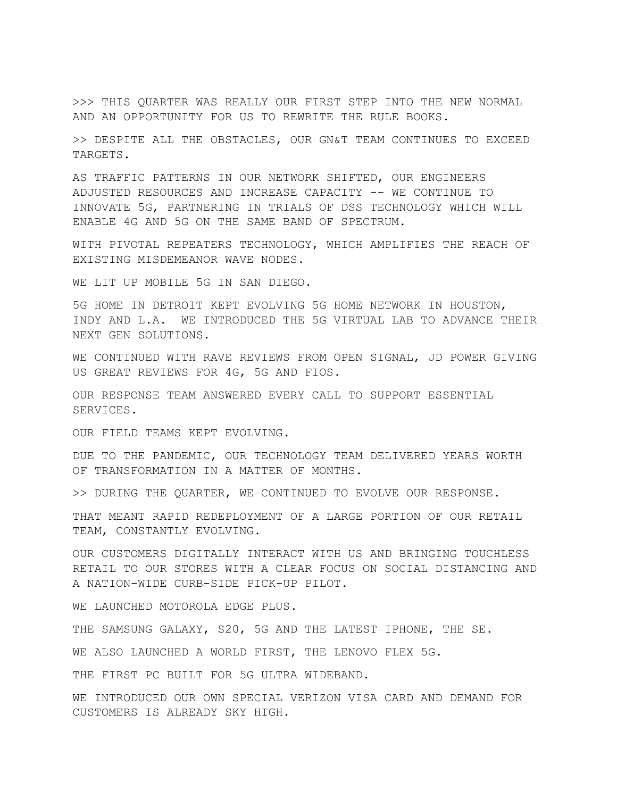>>> THIS QUARTER WAS REALLY OUR FIRST STEP INTO THE NEW NORMAL AND AN OPPORTUNITY FOR US TO REWRITE THE RULE BOOKS.

>> DESPITE ALL THE OBSTACLES, OUR GN&T TEAM CONTINUES TO EXCEED TARGETS.

AS TRAFFIC PATTERNS IN OUR NETWORK SHIFTED, OUR ENGINEERS ADJUSTED RESOURCES AND INCREASE CAPACITY -- WE CONTINUE TO INNOVATE 5G, PARTNERING IN TRIALS OF DSS TECHNOLOGY WHICH WILL ENABLE 4G AND 5G ON THE SAME BAND OF SPECTRUM.

WITH PIVOTAL REPEATERS TECHNOLOGY, WHICH AMPLIFIES THE REACH OF EXISTING MISDEMEANOR WAVE NODES.

WE LIT UP MOBILE 5G IN SAN DIEGO.

5G HOME IN DETROIT KEPT EVOLVING 5G HOME NETWORK IN HOUSTON, INDY AND L.A. WE INTRODUCED THE 5G VIRTUAL LAB TO ADVANCE THEIR NEXT GEN SOLUTIONS.

WE CONTINUED WITH RAVE REVIEWS FROM OPEN SIGNAL, JD POWER GIVING US GREAT REVIEWS FOR 4G, 5G AND FIOS.

OUR RESPONSE TEAM ANSWERED EVERY CALL TO SUPPORT ESSENTIAL SERVICES.

OUR FIELD TEAMS KEPT EVOLVING.

DUE TO THE PANDEMIC, OUR TECHNOLOGY TEAM DELIVERED YEARS WORTH OF TRANSFORMATION IN A MATTER OF MONTHS.

>> DURING THE QUARTER, WE CONTINUED TO EVOLVE OUR RESPONSE.

THAT MEANT RAPID REDEPLOYMENT OF A LARGE PORTION OF OUR RETAIL TEAM, CONSTANTLY EVOLVING.

OUR CUSTOMERS DIGITALLY INTERACT WITH US AND BRINGING TOUCHLESS RETAIL TO OUR STORES WITH A CLEAR FOCUS ON SOCIAL DISTANCING AND A NATION-WIDE CURB-SIDE PICK-UP PILOT.

WE LAUNCHED MOTOROLA EDGE PLUS.

THE SAMSUNG GALAXY, S20, 5G AND THE LATEST IPHONE, THE SE.

WE ALSO LAUNCHED A WORLD FIRST, THE LENOVO FLEX 5G.

THE FIRST PC BUILT FOR 5G ULTRA WIDEBAND.

WE INTRODUCED OUR OWN SPECIAL VERIZON VISA CARD AND DEMAND FOR CUSTOMERS IS ALREADY SKY HIGH.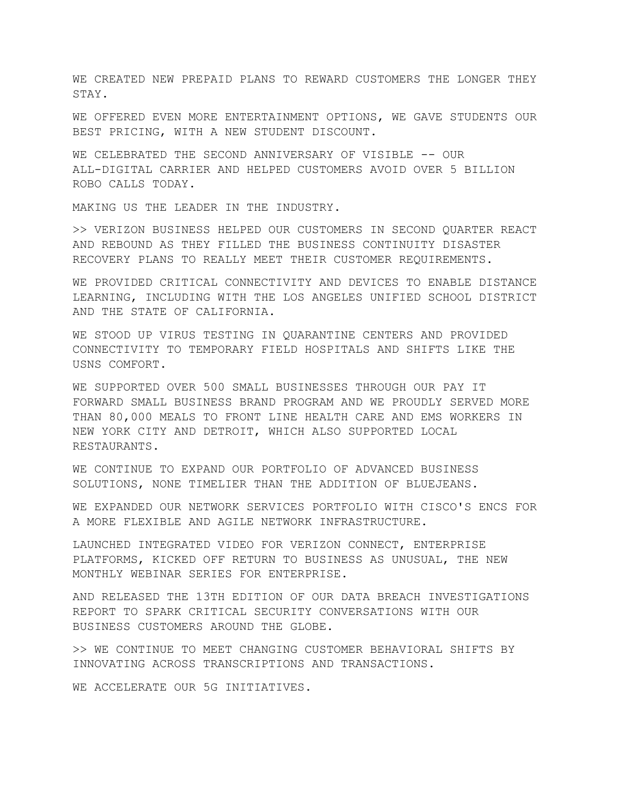WE CREATED NEW PREPAID PLANS TO REWARD CUSTOMERS THE LONGER THEY STAY.

WE OFFERED EVEN MORE ENTERTAINMENT OPTIONS, WE GAVE STUDENTS OUR BEST PRICING, WITH A NEW STUDENT DISCOUNT.

WE CELEBRATED THE SECOND ANNIVERSARY OF VISIBLE -- OUR ALL-DIGITAL CARRIER AND HELPED CUSTOMERS AVOID OVER 5 BILLION ROBO CALLS TODAY.

MAKING US THE LEADER IN THE INDUSTRY.

>> VERIZON BUSINESS HELPED OUR CUSTOMERS IN SECOND QUARTER REACT AND REBOUND AS THEY FILLED THE BUSINESS CONTINUITY DISASTER RECOVERY PLANS TO REALLY MEET THEIR CUSTOMER REQUIREMENTS.

WE PROVIDED CRITICAL CONNECTIVITY AND DEVICES TO ENABLE DISTANCE LEARNING, INCLUDING WITH THE LOS ANGELES UNIFIED SCHOOL DISTRICT AND THE STATE OF CALIFORNIA.

WE STOOD UP VIRUS TESTING IN QUARANTINE CENTERS AND PROVIDED CONNECTIVITY TO TEMPORARY FIELD HOSPITALS AND SHIFTS LIKE THE USNS COMFORT.

WE SUPPORTED OVER 500 SMALL BUSINESSES THROUGH OUR PAY IT FORWARD SMALL BUSINESS BRAND PROGRAM AND WE PROUDLY SERVED MORE THAN 80,000 MEALS TO FRONT LINE HEALTH CARE AND EMS WORKERS IN NEW YORK CITY AND DETROIT, WHICH ALSO SUPPORTED LOCAL RESTAURANTS.

WE CONTINUE TO EXPAND OUR PORTFOLIO OF ADVANCED BUSINESS SOLUTIONS, NONE TIMELIER THAN THE ADDITION OF BLUEJEANS.

WE EXPANDED OUR NETWORK SERVICES PORTFOLIO WITH CISCO'S ENCS FOR A MORE FLEXIBLE AND AGILE NETWORK INFRASTRUCTURE.

LAUNCHED INTEGRATED VIDEO FOR VERIZON CONNECT, ENTERPRISE PLATFORMS, KICKED OFF RETURN TO BUSINESS AS UNUSUAL, THE NEW MONTHLY WEBINAR SERIES FOR ENTERPRISE.

AND RELEASED THE 13TH EDITION OF OUR DATA BREACH INVESTIGATIONS REPORT TO SPARK CRITICAL SECURITY CONVERSATIONS WITH OUR BUSINESS CUSTOMERS AROUND THE GLOBE.

>> WE CONTINUE TO MEET CHANGING CUSTOMER BEHAVIORAL SHIFTS BY INNOVATING ACROSS TRANSCRIPTIONS AND TRANSACTIONS.

WE ACCELERATE OUR 5G INITIATIVES.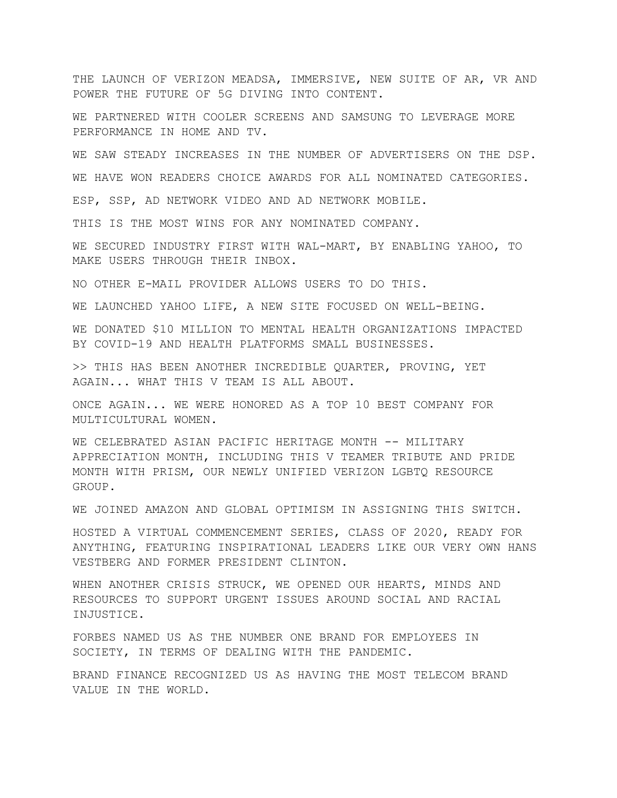THE LAUNCH OF VERIZON MEADSA, IMMERSIVE, NEW SUITE OF AR, VR AND POWER THE FUTURE OF 5G DIVING INTO CONTENT.

WE PARTNERED WITH COOLER SCREENS AND SAMSUNG TO LEVERAGE MORE PERFORMANCE IN HOME AND TV.

WE SAW STEADY INCREASES IN THE NUMBER OF ADVERTISERS ON THE DSP.

WE HAVE WON READERS CHOICE AWARDS FOR ALL NOMINATED CATEGORIES.

ESP, SSP, AD NETWORK VIDEO AND AD NETWORK MOBILE.

THIS IS THE MOST WINS FOR ANY NOMINATED COMPANY.

WE SECURED INDUSTRY FIRST WITH WAL-MART, BY ENABLING YAHOO, TO MAKE USERS THROUGH THEIR INBOX.

NO OTHER E-MAIL PROVIDER ALLOWS USERS TO DO THIS.

WE LAUNCHED YAHOO LIFE, A NEW SITE FOCUSED ON WELL-BEING.

WE DONATED \$10 MILLION TO MENTAL HEALTH ORGANIZATIONS IMPACTED BY COVID-19 AND HEALTH PLATFORMS SMALL BUSINESSES.

>> THIS HAS BEEN ANOTHER INCREDIBLE QUARTER, PROVING, YET AGAIN... WHAT THIS V TEAM IS ALL ABOUT.

ONCE AGAIN... WE WERE HONORED AS A TOP 10 BEST COMPANY FOR MULTICULTURAL WOMEN.

WE CELEBRATED ASIAN PACIFIC HERITAGE MONTH -- MILITARY APPRECIATION MONTH, INCLUDING THIS V TEAMER TRIBUTE AND PRIDE MONTH WITH PRISM, OUR NEWLY UNIFIED VERIZON LGBTQ RESOURCE GROUP.

WE JOINED AMAZON AND GLOBAL OPTIMISM IN ASSIGNING THIS SWITCH.

HOSTED A VIRTUAL COMMENCEMENT SERIES, CLASS OF 2020, READY FOR ANYTHING, FEATURING INSPIRATIONAL LEADERS LIKE OUR VERY OWN HANS VESTBERG AND FORMER PRESIDENT CLINTON.

WHEN ANOTHER CRISIS STRUCK, WE OPENED OUR HEARTS, MINDS AND RESOURCES TO SUPPORT URGENT ISSUES AROUND SOCIAL AND RACIAL INJUSTICE.

FORBES NAMED US AS THE NUMBER ONE BRAND FOR EMPLOYEES IN SOCIETY, IN TERMS OF DEALING WITH THE PANDEMIC.

BRAND FINANCE RECOGNIZED US AS HAVING THE MOST TELECOM BRAND VALUE IN THE WORLD.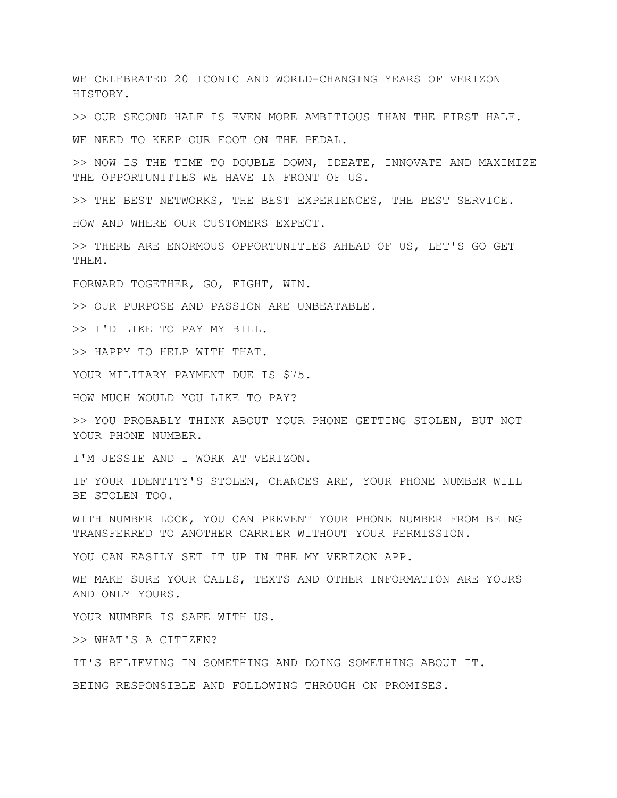WE CELEBRATED 20 ICONIC AND WORLD-CHANGING YEARS OF VERIZON HISTORY.

>> OUR SECOND HALF IS EVEN MORE AMBITIOUS THAN THE FIRST HALF.

WE NEED TO KEEP OUR FOOT ON THE PEDAL.

>> NOW IS THE TIME TO DOUBLE DOWN, IDEATE, INNOVATE AND MAXIMIZE THE OPPORTUNITIES WE HAVE IN FRONT OF US.

>> THE BEST NETWORKS, THE BEST EXPERIENCES, THE BEST SERVICE.

HOW AND WHERE OUR CUSTOMERS EXPECT.

>> THERE ARE ENORMOUS OPPORTUNITIES AHEAD OF US, LET'S GO GET THEM.

FORWARD TOGETHER, GO, FIGHT, WIN.

>> OUR PURPOSE AND PASSION ARE UNBEATABLE.

>> I'D LIKE TO PAY MY BILL.

>> HAPPY TO HELP WITH THAT.

YOUR MILITARY PAYMENT DUE IS \$75.

HOW MUCH WOULD YOU LIKE TO PAY?

>> YOU PROBABLY THINK ABOUT YOUR PHONE GETTING STOLEN, BUT NOT YOUR PHONE NUMBER.

I'M JESSIE AND I WORK AT VERIZON.

IF YOUR IDENTITY'S STOLEN, CHANCES ARE, YOUR PHONE NUMBER WILL BE STOLEN TOO.

WITH NUMBER LOCK, YOU CAN PREVENT YOUR PHONE NUMBER FROM BEING TRANSFERRED TO ANOTHER CARRIER WITHOUT YOUR PERMISSION.

YOU CAN EASILY SET IT UP IN THE MY VERIZON APP.

WE MAKE SURE YOUR CALLS, TEXTS AND OTHER INFORMATION ARE YOURS AND ONLY YOURS.

YOUR NUMBER IS SAFE WITH US.

>> WHAT'S A CITIZEN?

IT'S BELIEVING IN SOMETHING AND DOING SOMETHING ABOUT IT. BEING RESPONSIBLE AND FOLLOWING THROUGH ON PROMISES.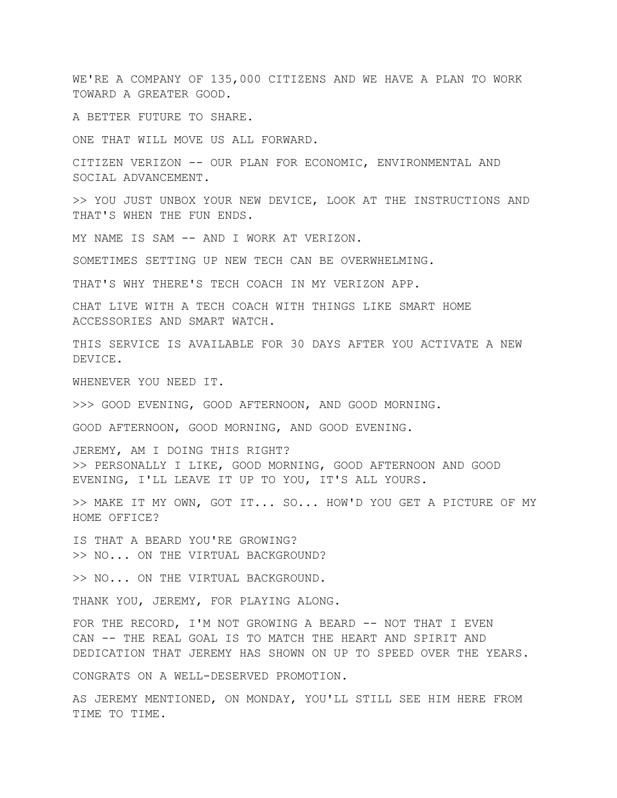WE'RE A COMPANY OF 135,000 CITIZENS AND WE HAVE A PLAN TO WORK TOWARD A GREATER GOOD.

A BETTER FUTURE TO SHARE.

ONE THAT WILL MOVE US ALL FORWARD.

CITIZEN VERIZON -- OUR PLAN FOR ECONOMIC, ENVIRONMENTAL AND SOCIAL ADVANCEMENT.

>> YOU JUST UNBOX YOUR NEW DEVICE, LOOK AT THE INSTRUCTIONS AND THAT'S WHEN THE FUN ENDS.

MY NAME IS SAM -- AND I WORK AT VERIZON.

SOMETIMES SETTING UP NEW TECH CAN BE OVERWHELMING.

THAT'S WHY THERE'S TECH COACH IN MY VERIZON APP.

CHAT LIVE WITH A TECH COACH WITH THINGS LIKE SMART HOME ACCESSORIES AND SMART WATCH.

THIS SERVICE IS AVAILABLE FOR 30 DAYS AFTER YOU ACTIVATE A NEW DEVICE.

WHENEVER YOU NEED IT.

>>> GOOD EVENING, GOOD AFTERNOON, AND GOOD MORNING.

GOOD AFTERNOON, GOOD MORNING, AND GOOD EVENING.

JEREMY, AM I DOING THIS RIGHT? >> PERSONALLY I LIKE, GOOD MORNING, GOOD AFTERNOON AND GOOD EVENING, I'LL LEAVE IT UP TO YOU, IT'S ALL YOURS.

>> MAKE IT MY OWN, GOT IT... SO... HOW'D YOU GET A PICTURE OF MY HOME OFFICE?

IS THAT A BEARD YOU'RE GROWING? >> NO... ON THE VIRTUAL BACKGROUND?

>> NO... ON THE VIRTUAL BACKGROUND.

THANK YOU, JEREMY, FOR PLAYING ALONG.

FOR THE RECORD, I'M NOT GROWING A BEARD -- NOT THAT I EVEN CAN -- THE REAL GOAL IS TO MATCH THE HEART AND SPIRIT AND DEDICATION THAT JEREMY HAS SHOWN ON UP TO SPEED OVER THE YEARS.

CONGRATS ON A WELL-DESERVED PROMOTION.

AS JEREMY MENTIONED, ON MONDAY, YOU'LL STILL SEE HIM HERE FROM TIME TO TIME.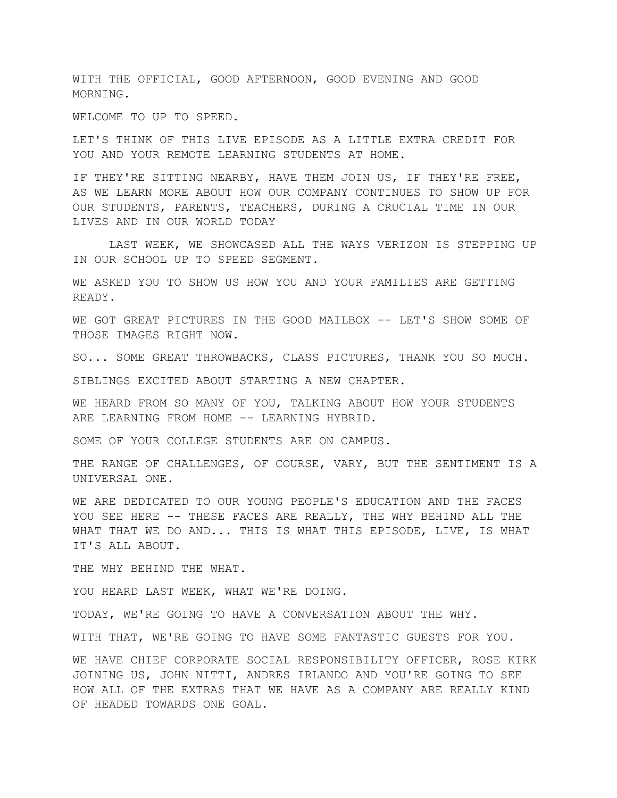WITH THE OFFICIAL, GOOD AFTERNOON, GOOD EVENING AND GOOD MORNING.

WELCOME TO UP TO SPEED.

LET'S THINK OF THIS LIVE EPISODE AS A LITTLE EXTRA CREDIT FOR YOU AND YOUR REMOTE LEARNING STUDENTS AT HOME.

IF THEY'RE SITTING NEARBY, HAVE THEM JOIN US, IF THEY'RE FREE, AS WE LEARN MORE ABOUT HOW OUR COMPANY CONTINUES TO SHOW UP FOR OUR STUDENTS, PARENTS, TEACHERS, DURING A CRUCIAL TIME IN OUR LIVES AND IN OUR WORLD TODAY

LAST WEEK, WE SHOWCASED ALL THE WAYS VERIZON IS STEPPING UP IN OUR SCHOOL UP TO SPEED SEGMENT.

WE ASKED YOU TO SHOW US HOW YOU AND YOUR FAMILIES ARE GETTING READY.

WE GOT GREAT PICTURES IN THE GOOD MAILBOX -- LET'S SHOW SOME OF THOSE IMAGES RIGHT NOW.

SO... SOME GREAT THROWBACKS, CLASS PICTURES, THANK YOU SO MUCH.

SIBLINGS EXCITED ABOUT STARTING A NEW CHAPTER.

WE HEARD FROM SO MANY OF YOU, TALKING ABOUT HOW YOUR STUDENTS ARE LEARNING FROM HOME -- LEARNING HYBRID.

SOME OF YOUR COLLEGE STUDENTS ARE ON CAMPUS.

THE RANGE OF CHALLENGES, OF COURSE, VARY, BUT THE SENTIMENT IS A UNIVERSAL ONE.

WE ARE DEDICATED TO OUR YOUNG PEOPLE'S EDUCATION AND THE FACES YOU SEE HERE -- THESE FACES ARE REALLY, THE WHY BEHIND ALL THE WHAT THAT WE DO AND... THIS IS WHAT THIS EPISODE, LIVE, IS WHAT IT'S ALL ABOUT.

THE WHY BEHIND THE WHAT.

YOU HEARD LAST WEEK, WHAT WE'RE DOING.

TODAY, WE'RE GOING TO HAVE A CONVERSATION ABOUT THE WHY.

WITH THAT, WE'RE GOING TO HAVE SOME FANTASTIC GUESTS FOR YOU.

WE HAVE CHIEF CORPORATE SOCIAL RESPONSIBILITY OFFICER, ROSE KIRK JOINING US, JOHN NITTI, ANDRES IRLANDO AND YOU'RE GOING TO SEE HOW ALL OF THE EXTRAS THAT WE HAVE AS A COMPANY ARE REALLY KIND OF HEADED TOWARDS ONE GOAL.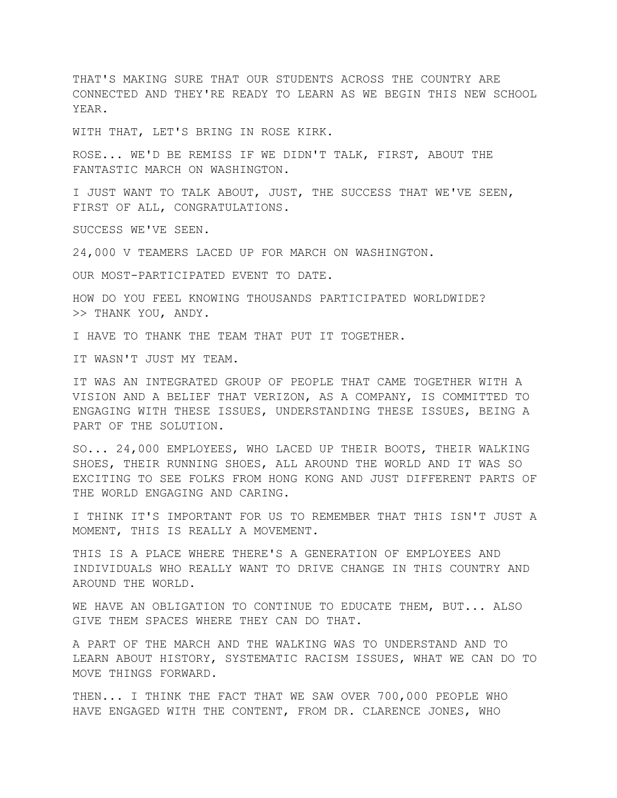THAT'S MAKING SURE THAT OUR STUDENTS ACROSS THE COUNTRY ARE CONNECTED AND THEY'RE READY TO LEARN AS WE BEGIN THIS NEW SCHOOL YEAR.

WITH THAT, LET'S BRING IN ROSE KIRK.

ROSE... WE'D BE REMISS IF WE DIDN'T TALK, FIRST, ABOUT THE FANTASTIC MARCH ON WASHINGTON.

I JUST WANT TO TALK ABOUT, JUST, THE SUCCESS THAT WE'VE SEEN, FIRST OF ALL, CONGRATULATIONS.

SUCCESS WE'VE SEEN.

24,000 V TEAMERS LACED UP FOR MARCH ON WASHINGTON.

OUR MOST-PARTICIPATED EVENT TO DATE.

HOW DO YOU FEEL KNOWING THOUSANDS PARTICIPATED WORLDWIDE? >> THANK YOU, ANDY.

I HAVE TO THANK THE TEAM THAT PUT IT TOGETHER.

IT WASN'T JUST MY TEAM.

IT WAS AN INTEGRATED GROUP OF PEOPLE THAT CAME TOGETHER WITH A VISION AND A BELIEF THAT VERIZON, AS A COMPANY, IS COMMITTED TO ENGAGING WITH THESE ISSUES, UNDERSTANDING THESE ISSUES, BEING A PART OF THE SOLUTION.

SO... 24,000 EMPLOYEES, WHO LACED UP THEIR BOOTS, THEIR WALKING SHOES, THEIR RUNNING SHOES, ALL AROUND THE WORLD AND IT WAS SO EXCITING TO SEE FOLKS FROM HONG KONG AND JUST DIFFERENT PARTS OF THE WORLD ENGAGING AND CARING.

I THINK IT'S IMPORTANT FOR US TO REMEMBER THAT THIS ISN'T JUST A MOMENT, THIS IS REALLY A MOVEMENT.

THIS IS A PLACE WHERE THERE'S A GENERATION OF EMPLOYEES AND INDIVIDUALS WHO REALLY WANT TO DRIVE CHANGE IN THIS COUNTRY AND AROUND THE WORLD.

WE HAVE AN OBLIGATION TO CONTINUE TO EDUCATE THEM, BUT... ALSO GIVE THEM SPACES WHERE THEY CAN DO THAT.

A PART OF THE MARCH AND THE WALKING WAS TO UNDERSTAND AND TO LEARN ABOUT HISTORY, SYSTEMATIC RACISM ISSUES, WHAT WE CAN DO TO MOVE THINGS FORWARD.

THEN... I THINK THE FACT THAT WE SAW OVER 700,000 PEOPLE WHO HAVE ENGAGED WITH THE CONTENT, FROM DR. CLARENCE JONES, WHO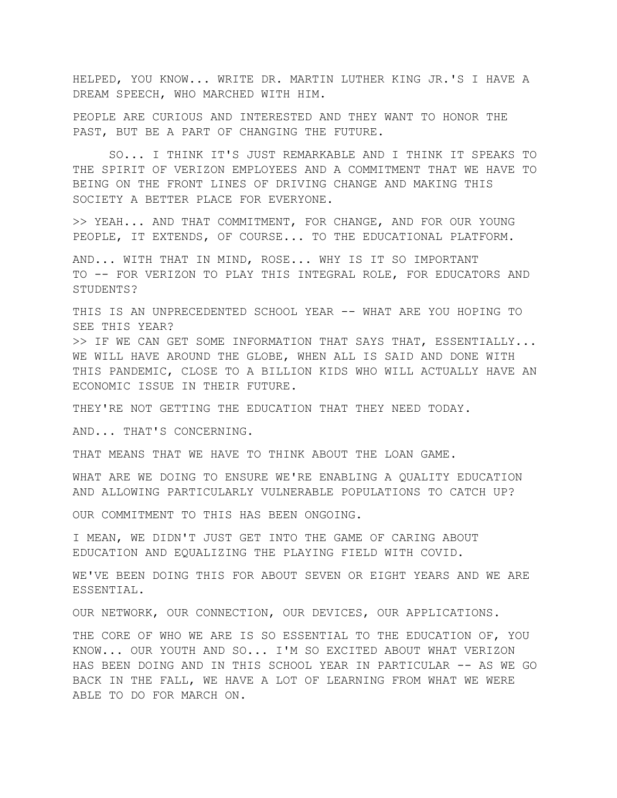HELPED, YOU KNOW... WRITE DR. MARTIN LUTHER KING JR.'S I HAVE A DREAM SPEECH, WHO MARCHED WITH HIM.

PEOPLE ARE CURIOUS AND INTERESTED AND THEY WANT TO HONOR THE PAST, BUT BE A PART OF CHANGING THE FUTURE.

SO... I THINK IT'S JUST REMARKABLE AND I THINK IT SPEAKS TO THE SPIRIT OF VERIZON EMPLOYEES AND A COMMITMENT THAT WE HAVE TO BEING ON THE FRONT LINES OF DRIVING CHANGE AND MAKING THIS SOCIETY A BETTER PLACE FOR EVERYONE.

>> YEAH... AND THAT COMMITMENT, FOR CHANGE, AND FOR OUR YOUNG PEOPLE, IT EXTENDS, OF COURSE... TO THE EDUCATIONAL PLATFORM.

AND... WITH THAT IN MIND, ROSE... WHY IS IT SO IMPORTANT TO -- FOR VERIZON TO PLAY THIS INTEGRAL ROLE, FOR EDUCATORS AND STUDENTS?

THIS IS AN UNPRECEDENTED SCHOOL YEAR -- WHAT ARE YOU HOPING TO SEE THIS YEAR?

>> IF WE CAN GET SOME INFORMATION THAT SAYS THAT, ESSENTIALLY... WE WILL HAVE AROUND THE GLOBE, WHEN ALL IS SAID AND DONE WITH THIS PANDEMIC, CLOSE TO A BILLION KIDS WHO WILL ACTUALLY HAVE AN ECONOMIC ISSUE IN THEIR FUTURE.

THEY'RE NOT GETTING THE EDUCATION THAT THEY NEED TODAY.

AND... THAT'S CONCERNING.

THAT MEANS THAT WE HAVE TO THINK ABOUT THE LOAN GAME.

WHAT ARE WE DOING TO ENSURE WE'RE ENABLING A QUALITY EDUCATION AND ALLOWING PARTICULARLY VULNERABLE POPULATIONS TO CATCH UP?

OUR COMMITMENT TO THIS HAS BEEN ONGOING.

I MEAN, WE DIDN'T JUST GET INTO THE GAME OF CARING ABOUT EDUCATION AND EQUALIZING THE PLAYING FIELD WITH COVID.

WE'VE BEEN DOING THIS FOR ABOUT SEVEN OR EIGHT YEARS AND WE ARE ESSENTIAL.

OUR NETWORK, OUR CONNECTION, OUR DEVICES, OUR APPLICATIONS.

THE CORE OF WHO WE ARE IS SO ESSENTIAL TO THE EDUCATION OF, YOU KNOW... OUR YOUTH AND SO... I'M SO EXCITED ABOUT WHAT VERIZON HAS BEEN DOING AND IN THIS SCHOOL YEAR IN PARTICULAR -- AS WE GO BACK IN THE FALL, WE HAVE A LOT OF LEARNING FROM WHAT WE WERE ABLE TO DO FOR MARCH ON.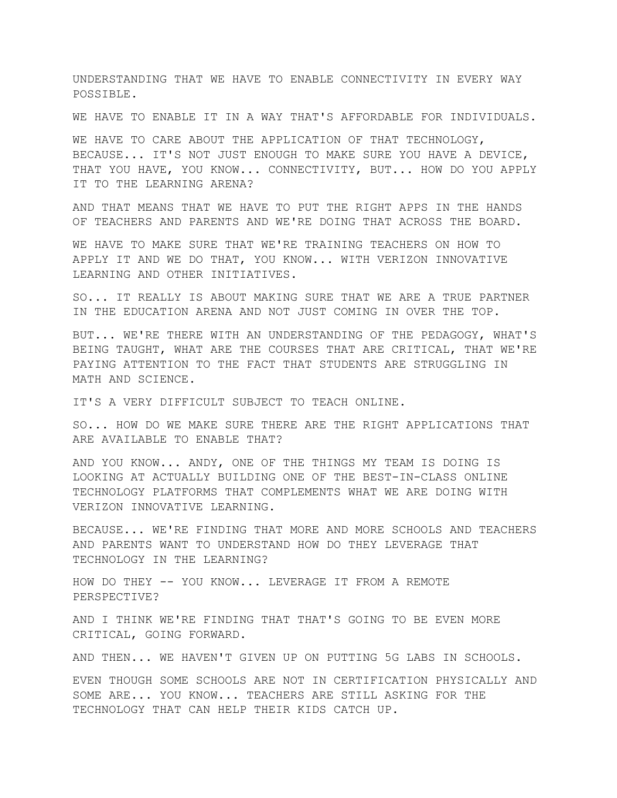UNDERSTANDING THAT WE HAVE TO ENABLE CONNECTIVITY IN EVERY WAY POSSIBLE.

WE HAVE TO ENABLE IT IN A WAY THAT'S AFFORDABLE FOR INDIVIDUALS.

WE HAVE TO CARE ABOUT THE APPLICATION OF THAT TECHNOLOGY, BECAUSE... IT'S NOT JUST ENOUGH TO MAKE SURE YOU HAVE A DEVICE, THAT YOU HAVE, YOU KNOW... CONNECTIVITY, BUT... HOW DO YOU APPLY IT TO THE LEARNING ARENA?

AND THAT MEANS THAT WE HAVE TO PUT THE RIGHT APPS IN THE HANDS OF TEACHERS AND PARENTS AND WE'RE DOING THAT ACROSS THE BOARD.

WE HAVE TO MAKE SURE THAT WE'RE TRAINING TEACHERS ON HOW TO APPLY IT AND WE DO THAT, YOU KNOW... WITH VERIZON INNOVATIVE LEARNING AND OTHER INITIATIVES.

SO... IT REALLY IS ABOUT MAKING SURE THAT WE ARE A TRUE PARTNER IN THE EDUCATION ARENA AND NOT JUST COMING IN OVER THE TOP.

BUT... WE'RE THERE WITH AN UNDERSTANDING OF THE PEDAGOGY, WHAT'S BEING TAUGHT, WHAT ARE THE COURSES THAT ARE CRITICAL, THAT WE'RE PAYING ATTENTION TO THE FACT THAT STUDENTS ARE STRUGGLING IN MATH AND SCIENCE.

IT'S A VERY DIFFICULT SUBJECT TO TEACH ONLINE.

SO... HOW DO WE MAKE SURE THERE ARE THE RIGHT APPLICATIONS THAT ARE AVAILABLE TO ENABLE THAT?

AND YOU KNOW... ANDY, ONE OF THE THINGS MY TEAM IS DOING IS LOOKING AT ACTUALLY BUILDING ONE OF THE BEST-IN-CLASS ONLINE TECHNOLOGY PLATFORMS THAT COMPLEMENTS WHAT WE ARE DOING WITH VERIZON INNOVATIVE LEARNING.

BECAUSE... WE'RE FINDING THAT MORE AND MORE SCHOOLS AND TEACHERS AND PARENTS WANT TO UNDERSTAND HOW DO THEY LEVERAGE THAT TECHNOLOGY IN THE LEARNING?

HOW DO THEY -- YOU KNOW... LEVERAGE IT FROM A REMOTE PERSPECTIVE?

AND I THINK WE'RE FINDING THAT THAT'S GOING TO BE EVEN MORE CRITICAL, GOING FORWARD.

AND THEN... WE HAVEN'T GIVEN UP ON PUTTING 5G LABS IN SCHOOLS.

EVEN THOUGH SOME SCHOOLS ARE NOT IN CERTIFICATION PHYSICALLY AND SOME ARE... YOU KNOW... TEACHERS ARE STILL ASKING FOR THE TECHNOLOGY THAT CAN HELP THEIR KIDS CATCH UP.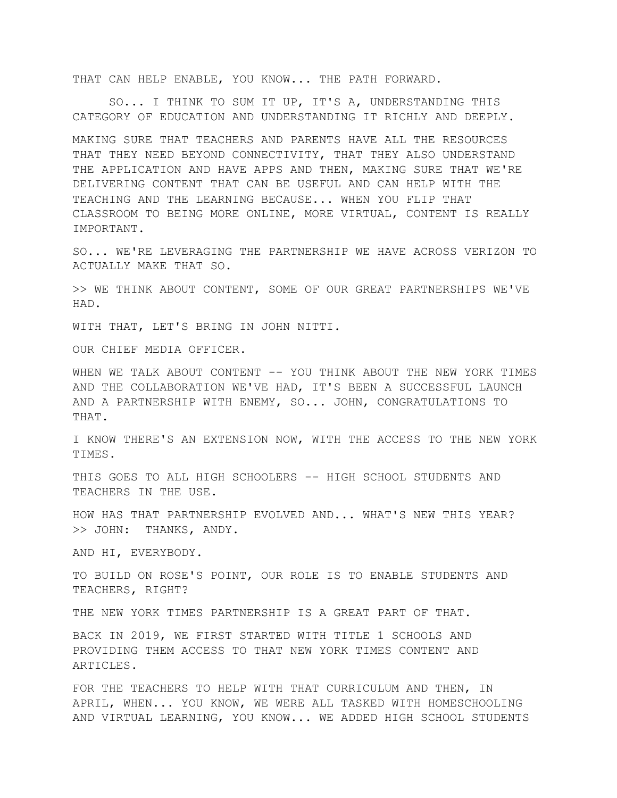THAT CAN HELP ENABLE, YOU KNOW... THE PATH FORWARD.

SO... I THINK TO SUM IT UP, IT'S A, UNDERSTANDING THIS CATEGORY OF EDUCATION AND UNDERSTANDING IT RICHLY AND DEEPLY.

MAKING SURE THAT TEACHERS AND PARENTS HAVE ALL THE RESOURCES THAT THEY NEED BEYOND CONNECTIVITY, THAT THEY ALSO UNDERSTAND THE APPLICATION AND HAVE APPS AND THEN, MAKING SURE THAT WE'RE DELIVERING CONTENT THAT CAN BE USEFUL AND CAN HELP WITH THE TEACHING AND THE LEARNING BECAUSE... WHEN YOU FLIP THAT CLASSROOM TO BEING MORE ONLINE, MORE VIRTUAL, CONTENT IS REALLY IMPORTANT.

SO... WE'RE LEVERAGING THE PARTNERSHIP WE HAVE ACROSS VERIZON TO ACTUALLY MAKE THAT SO.

>> WE THINK ABOUT CONTENT, SOME OF OUR GREAT PARTNERSHIPS WE'VE HAD.

WITH THAT, LET'S BRING IN JOHN NITTI.

OUR CHIEF MEDIA OFFICER.

WHEN WE TALK ABOUT CONTENT -- YOU THINK ABOUT THE NEW YORK TIMES AND THE COLLABORATION WE'VE HAD, IT'S BEEN A SUCCESSFUL LAUNCH AND A PARTNERSHIP WITH ENEMY, SO... JOHN, CONGRATULATIONS TO THAT.

I KNOW THERE'S AN EXTENSION NOW, WITH THE ACCESS TO THE NEW YORK TIMES.

THIS GOES TO ALL HIGH SCHOOLERS -- HIGH SCHOOL STUDENTS AND TEACHERS IN THE USE.

HOW HAS THAT PARTNERSHIP EVOLVED AND... WHAT'S NEW THIS YEAR? >> JOHN: THANKS, ANDY.

AND HI, EVERYBODY.

TO BUILD ON ROSE'S POINT, OUR ROLE IS TO ENABLE STUDENTS AND TEACHERS, RIGHT?

THE NEW YORK TIMES PARTNERSHIP IS A GREAT PART OF THAT.

BACK IN 2019, WE FIRST STARTED WITH TITLE 1 SCHOOLS AND PROVIDING THEM ACCESS TO THAT NEW YORK TIMES CONTENT AND ARTICLES.

FOR THE TEACHERS TO HELP WITH THAT CURRICULUM AND THEN, IN APRIL, WHEN... YOU KNOW, WE WERE ALL TASKED WITH HOMESCHOOLING AND VIRTUAL LEARNING, YOU KNOW... WE ADDED HIGH SCHOOL STUDENTS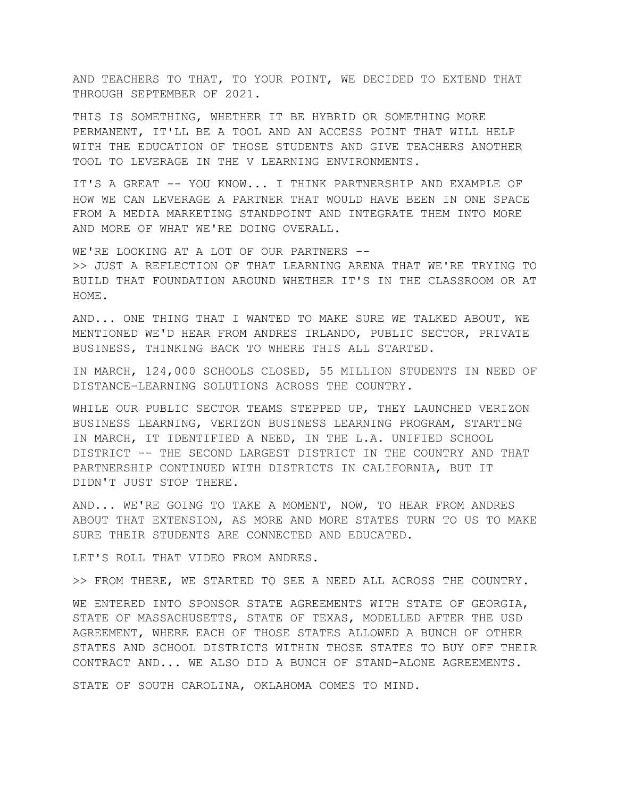AND TEACHERS TO THAT, TO YOUR POINT, WE DECIDED TO EXTEND THAT THROUGH SEPTEMBER OF 2021.

THIS IS SOMETHING, WHETHER IT BE HYBRID OR SOMETHING MORE PERMANENT, IT'LL BE A TOOL AND AN ACCESS POINT THAT WILL HELP WITH THE EDUCATION OF THOSE STUDENTS AND GIVE TEACHERS ANOTHER TOOL TO LEVERAGE IN THE V LEARNING ENVIRONMENTS.

IT'S A GREAT -- YOU KNOW... I THINK PARTNERSHIP AND EXAMPLE OF HOW WE CAN LEVERAGE A PARTNER THAT WOULD HAVE BEEN IN ONE SPACE FROM A MEDIA MARKETING STANDPOINT AND INTEGRATE THEM INTO MORE AND MORE OF WHAT WE'RE DOING OVERALL.

WE'RE LOOKING AT A LOT OF OUR PARTNERS -->> JUST A REFLECTION OF THAT LEARNING ARENA THAT WE'RE TRYING TO BUILD THAT FOUNDATION AROUND WHETHER IT'S IN THE CLASSROOM OR AT HOME.

AND... ONE THING THAT I WANTED TO MAKE SURE WE TALKED ABOUT, WE MENTIONED WE'D HEAR FROM ANDRES IRLANDO, PUBLIC SECTOR, PRIVATE BUSINESS, THINKING BACK TO WHERE THIS ALL STARTED.

IN MARCH, 124,000 SCHOOLS CLOSED, 55 MILLION STUDENTS IN NEED OF DISTANCE-LEARNING SOLUTIONS ACROSS THE COUNTRY.

WHILE OUR PUBLIC SECTOR TEAMS STEPPED UP, THEY LAUNCHED VERIZON BUSINESS LEARNING, VERIZON BUSINESS LEARNING PROGRAM, STARTING IN MARCH, IT IDENTIFIED A NEED, IN THE L.A. UNIFIED SCHOOL DISTRICT -- THE SECOND LARGEST DISTRICT IN THE COUNTRY AND THAT PARTNERSHIP CONTINUED WITH DISTRICTS IN CALIFORNIA, BUT IT DIDN'T JUST STOP THERE.

AND... WE'RE GOING TO TAKE A MOMENT, NOW, TO HEAR FROM ANDRES ABOUT THAT EXTENSION, AS MORE AND MORE STATES TURN TO US TO MAKE SURE THEIR STUDENTS ARE CONNECTED AND EDUCATED.

LET'S ROLL THAT VIDEO FROM ANDRES.

>> FROM THERE, WE STARTED TO SEE A NEED ALL ACROSS THE COUNTRY.

WE ENTERED INTO SPONSOR STATE AGREEMENTS WITH STATE OF GEORGIA, STATE OF MASSACHUSETTS, STATE OF TEXAS, MODELLED AFTER THE USD AGREEMENT, WHERE EACH OF THOSE STATES ALLOWED A BUNCH OF OTHER STATES AND SCHOOL DISTRICTS WITHIN THOSE STATES TO BUY OFF THEIR CONTRACT AND... WE ALSO DID A BUNCH OF STAND-ALONE AGREEMENTS.

STATE OF SOUTH CAROLINA, OKLAHOMA COMES TO MIND.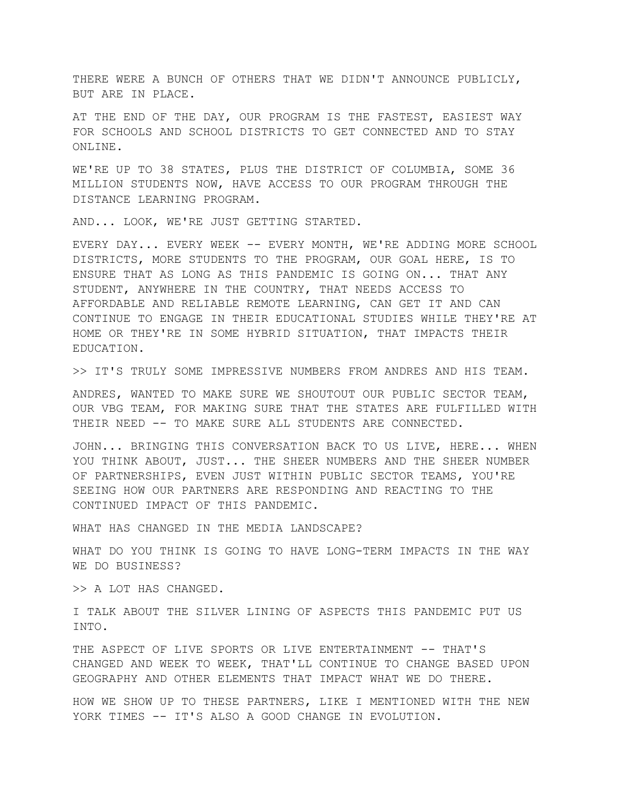THERE WERE A BUNCH OF OTHERS THAT WE DIDN'T ANNOUNCE PUBLICLY, BUT ARE IN PLACE.

AT THE END OF THE DAY, OUR PROGRAM IS THE FASTEST, EASIEST WAY FOR SCHOOLS AND SCHOOL DISTRICTS TO GET CONNECTED AND TO STAY ONLINE.

WE'RE UP TO 38 STATES, PLUS THE DISTRICT OF COLUMBIA, SOME 36 MILLION STUDENTS NOW, HAVE ACCESS TO OUR PROGRAM THROUGH THE DISTANCE LEARNING PROGRAM.

AND... LOOK, WE'RE JUST GETTING STARTED.

EVERY DAY... EVERY WEEK -- EVERY MONTH, WE'RE ADDING MORE SCHOOL DISTRICTS, MORE STUDENTS TO THE PROGRAM, OUR GOAL HERE, IS TO ENSURE THAT AS LONG AS THIS PANDEMIC IS GOING ON... THAT ANY STUDENT, ANYWHERE IN THE COUNTRY, THAT NEEDS ACCESS TO AFFORDABLE AND RELIABLE REMOTE LEARNING, CAN GET IT AND CAN CONTINUE TO ENGAGE IN THEIR EDUCATIONAL STUDIES WHILE THEY'RE AT HOME OR THEY'RE IN SOME HYBRID SITUATION, THAT IMPACTS THEIR EDUCATION.

>> IT'S TRULY SOME IMPRESSIVE NUMBERS FROM ANDRES AND HIS TEAM.

ANDRES, WANTED TO MAKE SURE WE SHOUTOUT OUR PUBLIC SECTOR TEAM, OUR VBG TEAM, FOR MAKING SURE THAT THE STATES ARE FULFILLED WITH THEIR NEED -- TO MAKE SURE ALL STUDENTS ARE CONNECTED.

JOHN... BRINGING THIS CONVERSATION BACK TO US LIVE, HERE... WHEN YOU THINK ABOUT, JUST... THE SHEER NUMBERS AND THE SHEER NUMBER OF PARTNERSHIPS, EVEN JUST WITHIN PUBLIC SECTOR TEAMS, YOU'RE SEEING HOW OUR PARTNERS ARE RESPONDING AND REACTING TO THE CONTINUED IMPACT OF THIS PANDEMIC.

WHAT HAS CHANGED IN THE MEDIA LANDSCAPE?

WHAT DO YOU THINK IS GOING TO HAVE LONG-TERM IMPACTS IN THE WAY WE DO BUSINESS?

>> A LOT HAS CHANGED.

I TALK ABOUT THE SILVER LINING OF ASPECTS THIS PANDEMIC PUT US INTO.

THE ASPECT OF LIVE SPORTS OR LIVE ENTERTAINMENT -- THAT'S CHANGED AND WEEK TO WEEK, THAT'LL CONTINUE TO CHANGE BASED UPON GEOGRAPHY AND OTHER ELEMENTS THAT IMPACT WHAT WE DO THERE.

HOW WE SHOW UP TO THESE PARTNERS, LIKE I MENTIONED WITH THE NEW YORK TIMES -- IT'S ALSO A GOOD CHANGE IN EVOLUTION.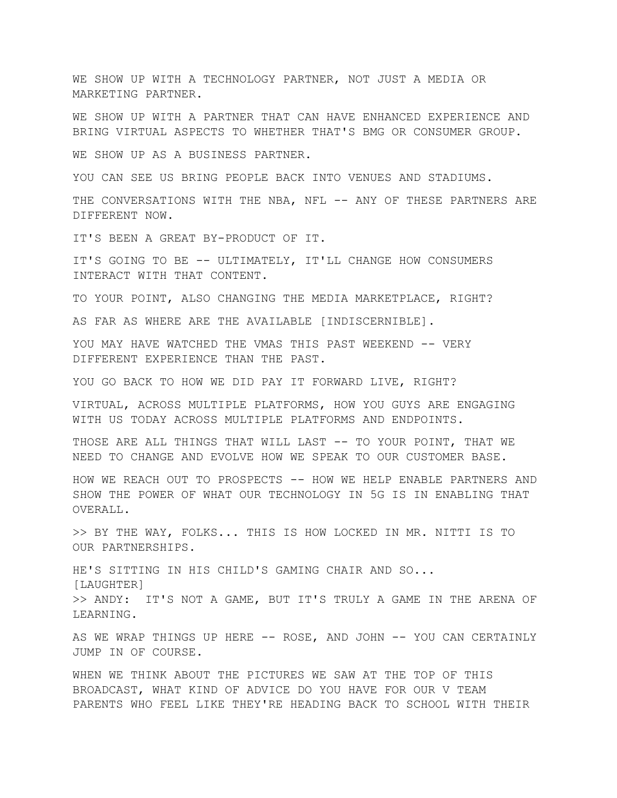WE SHOW UP WITH A TECHNOLOGY PARTNER, NOT JUST A MEDIA OR MARKETING PARTNER.

WE SHOW UP WITH A PARTNER THAT CAN HAVE ENHANCED EXPERIENCE AND BRING VIRTUAL ASPECTS TO WHETHER THAT'S BMG OR CONSUMER GROUP.

WE SHOW UP AS A BUSINESS PARTNER.

YOU CAN SEE US BRING PEOPLE BACK INTO VENUES AND STADIUMS.

THE CONVERSATIONS WITH THE NBA, NFL -- ANY OF THESE PARTNERS ARE DIFFERENT NOW.

IT'S BEEN A GREAT BY-PRODUCT OF IT.

IT'S GOING TO BE -- ULTIMATELY, IT'LL CHANGE HOW CONSUMERS INTERACT WITH THAT CONTENT.

TO YOUR POINT, ALSO CHANGING THE MEDIA MARKETPLACE, RIGHT?

AS FAR AS WHERE ARE THE AVAILABLE [INDISCERNIBLE].

YOU MAY HAVE WATCHED THE VMAS THIS PAST WEEKEND -- VERY DIFFERENT EXPERIENCE THAN THE PAST.

YOU GO BACK TO HOW WE DID PAY IT FORWARD LIVE, RIGHT?

VIRTUAL, ACROSS MULTIPLE PLATFORMS, HOW YOU GUYS ARE ENGAGING WITH US TODAY ACROSS MULTIPLE PLATFORMS AND ENDPOINTS.

THOSE ARE ALL THINGS THAT WILL LAST -- TO YOUR POINT, THAT WE NEED TO CHANGE AND EVOLVE HOW WE SPEAK TO OUR CUSTOMER BASE.

HOW WE REACH OUT TO PROSPECTS -- HOW WE HELP ENABLE PARTNERS AND SHOW THE POWER OF WHAT OUR TECHNOLOGY IN 5G IS IN ENABLING THAT OVERALL.

>> BY THE WAY, FOLKS... THIS IS HOW LOCKED IN MR. NITTI IS TO OUR PARTNERSHIPS.

HE'S SITTING IN HIS CHILD'S GAMING CHAIR AND SO... [LAUGHTER] >> ANDY: IT'S NOT A GAME, BUT IT'S TRULY A GAME IN THE ARENA OF LEARNING.

AS WE WRAP THINGS UP HERE -- ROSE, AND JOHN -- YOU CAN CERTAINLY JUMP IN OF COURSE.

WHEN WE THINK ABOUT THE PICTURES WE SAW AT THE TOP OF THIS BROADCAST, WHAT KIND OF ADVICE DO YOU HAVE FOR OUR V TEAM PARENTS WHO FEEL LIKE THEY'RE HEADING BACK TO SCHOOL WITH THEIR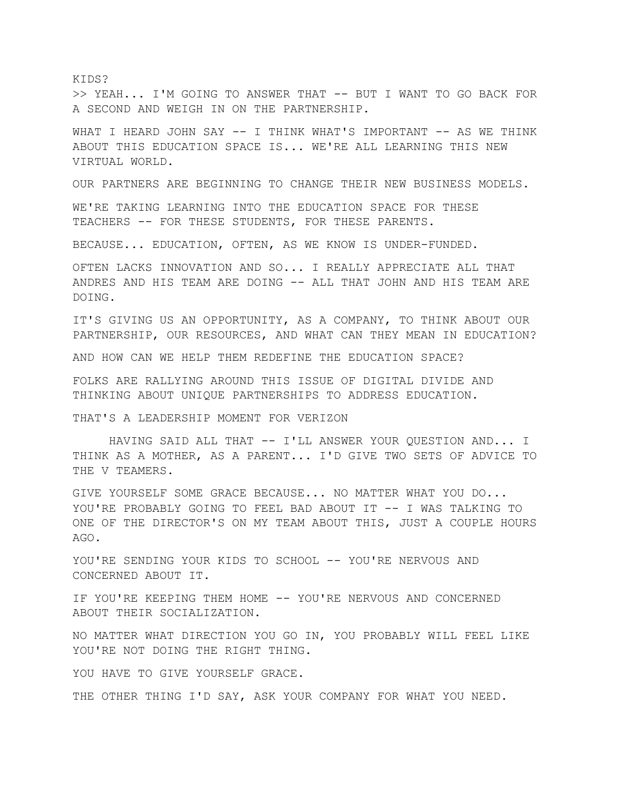KIDS? >> YEAH... I'M GOING TO ANSWER THAT -- BUT I WANT TO GO BACK FOR A SECOND AND WEIGH IN ON THE PARTNERSHIP.

WHAT I HEARD JOHN SAY -- I THINK WHAT'S IMPORTANT -- AS WE THINK ABOUT THIS EDUCATION SPACE IS... WE'RE ALL LEARNING THIS NEW VIRTUAL WORLD.

OUR PARTNERS ARE BEGINNING TO CHANGE THEIR NEW BUSINESS MODELS.

WE'RE TAKING LEARNING INTO THE EDUCATION SPACE FOR THESE TEACHERS -- FOR THESE STUDENTS, FOR THESE PARENTS.

BECAUSE... EDUCATION, OFTEN, AS WE KNOW IS UNDER-FUNDED.

OFTEN LACKS INNOVATION AND SO... I REALLY APPRECIATE ALL THAT ANDRES AND HIS TEAM ARE DOING -- ALL THAT JOHN AND HIS TEAM ARE DOING.

IT'S GIVING US AN OPPORTUNITY, AS A COMPANY, TO THINK ABOUT OUR PARTNERSHIP, OUR RESOURCES, AND WHAT CAN THEY MEAN IN EDUCATION?

AND HOW CAN WE HELP THEM REDEFINE THE EDUCATION SPACE?

FOLKS ARE RALLYING AROUND THIS ISSUE OF DIGITAL DIVIDE AND THINKING ABOUT UNIQUE PARTNERSHIPS TO ADDRESS EDUCATION.

THAT'S A LEADERSHIP MOMENT FOR VERIZON

HAVING SAID ALL THAT -- I'LL ANSWER YOUR QUESTION AND... I THINK AS A MOTHER, AS A PARENT... I'D GIVE TWO SETS OF ADVICE TO THE V TEAMERS.

GIVE YOURSELF SOME GRACE BECAUSE... NO MATTER WHAT YOU DO... YOU'RE PROBABLY GOING TO FEEL BAD ABOUT IT -- I WAS TALKING TO ONE OF THE DIRECTOR'S ON MY TEAM ABOUT THIS, JUST A COUPLE HOURS AGO.

YOU'RE SENDING YOUR KIDS TO SCHOOL -- YOU'RE NERVOUS AND CONCERNED ABOUT IT.

IF YOU'RE KEEPING THEM HOME -- YOU'RE NERVOUS AND CONCERNED ABOUT THEIR SOCIALIZATION.

NO MATTER WHAT DIRECTION YOU GO IN, YOU PROBABLY WILL FEEL LIKE YOU'RE NOT DOING THE RIGHT THING.

YOU HAVE TO GIVE YOURSELF GRACE.

THE OTHER THING I'D SAY, ASK YOUR COMPANY FOR WHAT YOU NEED.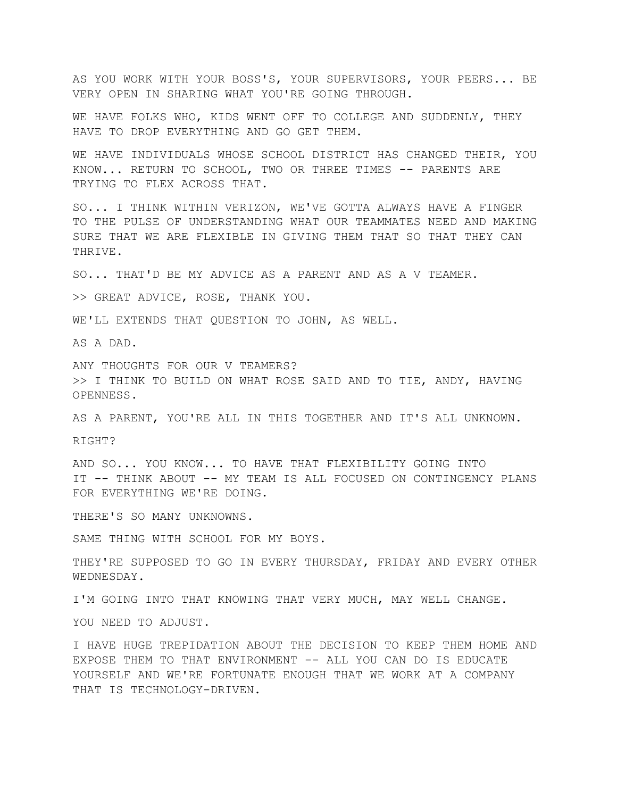AS YOU WORK WITH YOUR BOSS'S, YOUR SUPERVISORS, YOUR PEERS... BE VERY OPEN IN SHARING WHAT YOU'RE GOING THROUGH.

WE HAVE FOLKS WHO, KIDS WENT OFF TO COLLEGE AND SUDDENLY, THEY HAVE TO DROP EVERYTHING AND GO GET THEM.

WE HAVE INDIVIDUALS WHOSE SCHOOL DISTRICT HAS CHANGED THEIR, YOU KNOW... RETURN TO SCHOOL, TWO OR THREE TIMES -- PARENTS ARE TRYING TO FLEX ACROSS THAT.

SO... I THINK WITHIN VERIZON, WE'VE GOTTA ALWAYS HAVE A FINGER TO THE PULSE OF UNDERSTANDING WHAT OUR TEAMMATES NEED AND MAKING SURE THAT WE ARE FLEXIBLE IN GIVING THEM THAT SO THAT THEY CAN THRIVE.

SO... THAT'D BE MY ADVICE AS A PARENT AND AS A V TEAMER.

>> GREAT ADVICE, ROSE, THANK YOU.

WE'LL EXTENDS THAT OUESTION TO JOHN, AS WELL.

AS A DAD.

ANY THOUGHTS FOR OUR V TEAMERS? >> I THINK TO BUILD ON WHAT ROSE SAID AND TO TIE, ANDY, HAVING OPENNESS.

AS A PARENT, YOU'RE ALL IN THIS TOGETHER AND IT'S ALL UNKNOWN.

RIGHT?

AND SO... YOU KNOW... TO HAVE THAT FLEXIBILITY GOING INTO IT -- THINK ABOUT -- MY TEAM IS ALL FOCUSED ON CONTINGENCY PLANS FOR EVERYTHING WE'RE DOING.

THERE'S SO MANY UNKNOWNS.

SAME THING WITH SCHOOL FOR MY BOYS.

THEY'RE SUPPOSED TO GO IN EVERY THURSDAY, FRIDAY AND EVERY OTHER WEDNESDAY.

I'M GOING INTO THAT KNOWING THAT VERY MUCH, MAY WELL CHANGE.

YOU NEED TO ADJUST.

I HAVE HUGE TREPIDATION ABOUT THE DECISION TO KEEP THEM HOME AND EXPOSE THEM TO THAT ENVIRONMENT -- ALL YOU CAN DO IS EDUCATE YOURSELF AND WE'RE FORTUNATE ENOUGH THAT WE WORK AT A COMPANY THAT IS TECHNOLOGY-DRIVEN.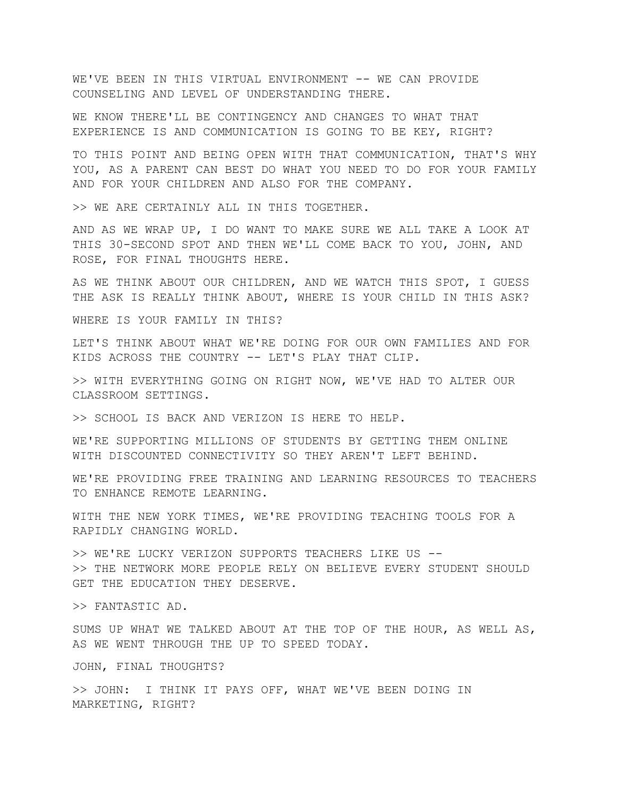WE'VE BEEN IN THIS VIRTUAL ENVIRONMENT -- WE CAN PROVIDE COUNSELING AND LEVEL OF UNDERSTANDING THERE.

WE KNOW THERE'LL BE CONTINGENCY AND CHANGES TO WHAT THAT EXPERIENCE IS AND COMMUNICATION IS GOING TO BE KEY, RIGHT?

TO THIS POINT AND BEING OPEN WITH THAT COMMUNICATION, THAT'S WHY YOU, AS A PARENT CAN BEST DO WHAT YOU NEED TO DO FOR YOUR FAMILY AND FOR YOUR CHILDREN AND ALSO FOR THE COMPANY.

>> WE ARE CERTAINLY ALL IN THIS TOGETHER.

AND AS WE WRAP UP, I DO WANT TO MAKE SURE WE ALL TAKE A LOOK AT THIS 30-SECOND SPOT AND THEN WE'LL COME BACK TO YOU, JOHN, AND ROSE, FOR FINAL THOUGHTS HERE.

AS WE THINK ABOUT OUR CHILDREN, AND WE WATCH THIS SPOT, I GUESS THE ASK IS REALLY THINK ABOUT, WHERE IS YOUR CHILD IN THIS ASK?

WHERE IS YOUR FAMILY IN THIS?

LET'S THINK ABOUT WHAT WE'RE DOING FOR OUR OWN FAMILIES AND FOR KIDS ACROSS THE COUNTRY -- LET'S PLAY THAT CLIP.

>> WITH EVERYTHING GOING ON RIGHT NOW, WE'VE HAD TO ALTER OUR CLASSROOM SETTINGS.

>> SCHOOL IS BACK AND VERIZON IS HERE TO HELP.

WE'RE SUPPORTING MILLIONS OF STUDENTS BY GETTING THEM ONLINE WITH DISCOUNTED CONNECTIVITY SO THEY AREN'T LEFT BEHIND.

WE'RE PROVIDING FREE TRAINING AND LEARNING RESOURCES TO TEACHERS TO ENHANCE REMOTE LEARNING.

WITH THE NEW YORK TIMES, WE'RE PROVIDING TEACHING TOOLS FOR A RAPIDLY CHANGING WORLD.

>> WE'RE LUCKY VERIZON SUPPORTS TEACHERS LIKE US -- >> THE NETWORK MORE PEOPLE RELY ON BELIEVE EVERY STUDENT SHOULD GET THE EDUCATION THEY DESERVE.

>> FANTASTIC AD.

SUMS UP WHAT WE TALKED ABOUT AT THE TOP OF THE HOUR, AS WELL AS, AS WE WENT THROUGH THE UP TO SPEED TODAY.

JOHN, FINAL THOUGHTS?

>> JOHN: I THINK IT PAYS OFF, WHAT WE'VE BEEN DOING IN MARKETING, RIGHT?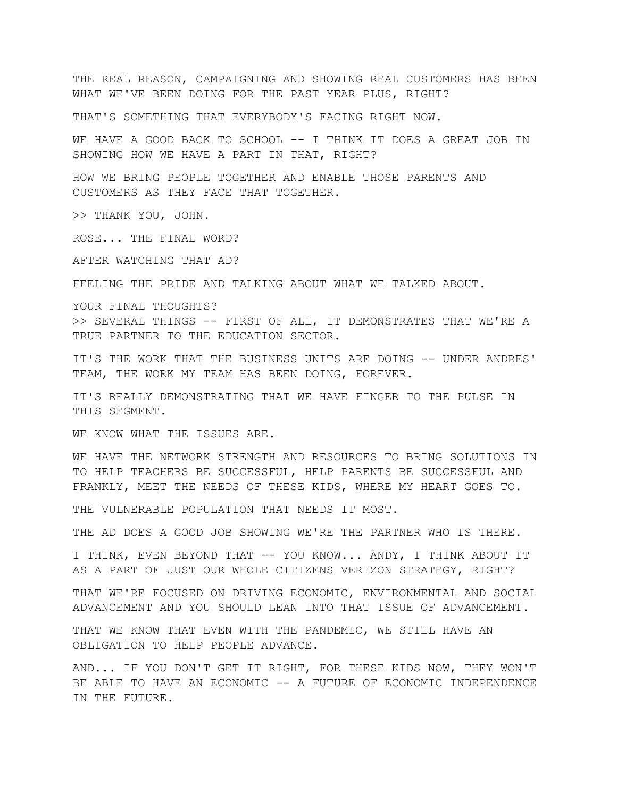THE REAL REASON, CAMPAIGNING AND SHOWING REAL CUSTOMERS HAS BEEN WHAT WE'VE BEEN DOING FOR THE PAST YEAR PLUS, RIGHT?

THAT'S SOMETHING THAT EVERYBODY'S FACING RIGHT NOW.

WE HAVE A GOOD BACK TO SCHOOL -- I THINK IT DOES A GREAT JOB IN SHOWING HOW WE HAVE A PART IN THAT, RIGHT?

HOW WE BRING PEOPLE TOGETHER AND ENABLE THOSE PARENTS AND CUSTOMERS AS THEY FACE THAT TOGETHER.

>> THANK YOU, JOHN.

ROSE... THE FINAL WORD?

AFTER WATCHING THAT AD?

FEELING THE PRIDE AND TALKING ABOUT WHAT WE TALKED ABOUT.

YOUR FINAL THOUGHTS?

>> SEVERAL THINGS -- FIRST OF ALL, IT DEMONSTRATES THAT WE'RE A TRUE PARTNER TO THE EDUCATION SECTOR.

IT'S THE WORK THAT THE BUSINESS UNITS ARE DOING -- UNDER ANDRES' TEAM, THE WORK MY TEAM HAS BEEN DOING, FOREVER.

IT'S REALLY DEMONSTRATING THAT WE HAVE FINGER TO THE PULSE IN THIS SEGMENT.

WE KNOW WHAT THE ISSUES ARE.

WE HAVE THE NETWORK STRENGTH AND RESOURCES TO BRING SOLUTIONS IN TO HELP TEACHERS BE SUCCESSFUL, HELP PARENTS BE SUCCESSFUL AND FRANKLY, MEET THE NEEDS OF THESE KIDS, WHERE MY HEART GOES TO.

THE VULNERABLE POPULATION THAT NEEDS IT MOST.

THE AD DOES A GOOD JOB SHOWING WE'RE THE PARTNER WHO IS THERE.

I THINK, EVEN BEYOND THAT -- YOU KNOW... ANDY, I THINK ABOUT IT AS A PART OF JUST OUR WHOLE CITIZENS VERIZON STRATEGY, RIGHT?

THAT WE'RE FOCUSED ON DRIVING ECONOMIC, ENVIRONMENTAL AND SOCIAL ADVANCEMENT AND YOU SHOULD LEAN INTO THAT ISSUE OF ADVANCEMENT.

THAT WE KNOW THAT EVEN WITH THE PANDEMIC, WE STILL HAVE AN OBLIGATION TO HELP PEOPLE ADVANCE.

AND... IF YOU DON'T GET IT RIGHT, FOR THESE KIDS NOW, THEY WON'T BE ABLE TO HAVE AN ECONOMIC -- A FUTURE OF ECONOMIC INDEPENDENCE IN THE FUTURE.